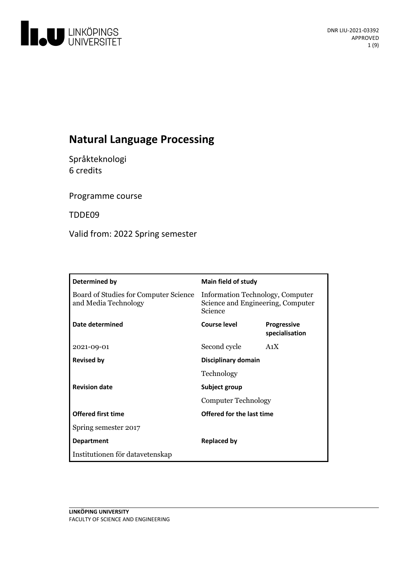

# **Natural Language Processing**

Språkteknologi 6 credits

Programme course

TDDE09

Valid from: 2022 Spring semester

| Determined by                                                 | <b>Main field of study</b>                                                       |                                      |
|---------------------------------------------------------------|----------------------------------------------------------------------------------|--------------------------------------|
| Board of Studies for Computer Science<br>and Media Technology | Information Technology, Computer<br>Science and Engineering, Computer<br>Science |                                      |
| Date determined                                               | <b>Course level</b>                                                              | <b>Progressive</b><br>specialisation |
| 2021-09-01                                                    | Second cycle                                                                     | A <sub>1</sub> X                     |
| <b>Revised by</b>                                             | Disciplinary domain                                                              |                                      |
|                                                               | Technology                                                                       |                                      |
| <b>Revision date</b>                                          | Subject group<br><b>Computer Technology</b>                                      |                                      |
|                                                               |                                                                                  |                                      |
| <b>Offered first time</b>                                     | Offered for the last time                                                        |                                      |
| Spring semester 2017                                          |                                                                                  |                                      |
| <b>Department</b>                                             | Replaced by                                                                      |                                      |
| Institutionen för datavetenskap                               |                                                                                  |                                      |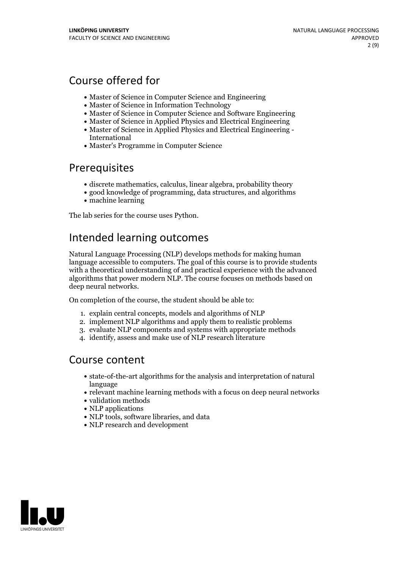# Course offered for

- Master of Science in Computer Science and Engineering
- Master of Science in Information Technology
- Master of Science in Computer Science and Software Engineering
- Master of Science in Applied Physics and Electrical Engineering
- Master of Science in Applied Physics and Electrical Engineering International
- Master's Programme in Computer Science

## Prerequisites

- discrete mathematics, calculus, linear algebra, probability theory
- good knowledge of programming, data structures, and algorithms
- machine learning

The lab series for the course uses Python.

# Intended learning outcomes

Natural Language Processing (NLP) develops methods for making human language accessible to computers. The goal of this course is to provide students with a theoretical understanding of and practical experience with the advanced algorithms that power modern NLP. The course focuses on methods based on deep neural networks.

On completion of the course, the student should be able to:

- 1. explain central concepts, models and algorithms of NLP
- 2. implement NLP algorithms and apply them to realistic problems
- 3. evaluate NLP components and systems with appropriate methods
- 4. identify, assess and make use of NLP research literature

## Course content

- state-of-the-art algorithms for the analysis and interpretation of natural language
- relevant machine learning methods with a focus on deep neural networks
- validation methods
- NLP applications
- NLP tools, software libraries, and data
- NLP research and development

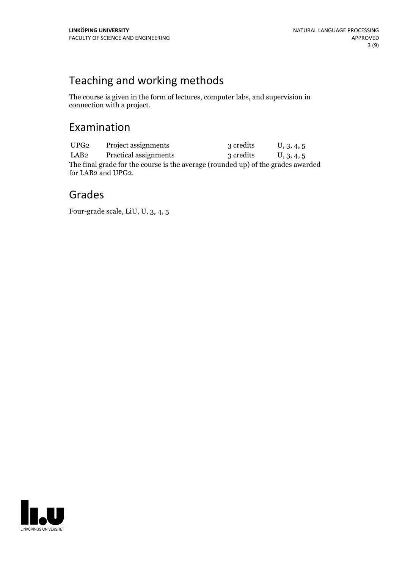# Teaching and working methods

The course is given in the form of lectures, computer labs, and supervision in connection with a project.

## Examination

UPG<sub>2</sub> Project assignments 3 credits U, 3, 4, 5 LAB2 Practical assignments 3 credits U, 3, 4, 5 The final grade for the course is the average (rounded up) of the grades awarded for LAB2 and UPG2.

## Grades

Four-grade scale, LiU, U, 3, 4, 5

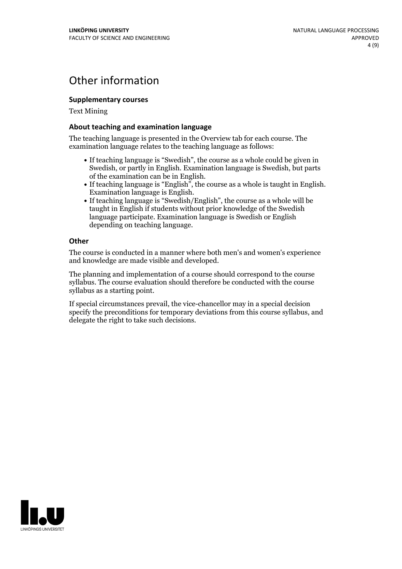## Other information

### **Supplementarycourses**

Text Mining

#### **About teaching and examination language**

The teaching language is presented in the Overview tab for each course. The examination language relates to the teaching language as follows:

- If teaching language is "Swedish", the course as a whole could be given in Swedish, or partly in English. Examination language is Swedish, but parts
- of the examination can be in English. If teaching language is "English", the course as <sup>a</sup> whole is taught in English. Examination language is English. If teaching language is "Swedish/English", the course as <sup>a</sup> whole will be
- taught in English if students without prior knowledge of the Swedish language participate. Examination language is Swedish or English depending on teaching language.

#### **Other**

The course is conducted in a manner where both men's and women's experience and knowledge are made visible and developed.

The planning and implementation of a course should correspond to the course syllabus. The course evaluation should therefore be conducted with the course syllabus as a starting point.

If special circumstances prevail, the vice-chancellor may in a special decision specify the preconditions for temporary deviations from this course syllabus, and delegate the right to take such decisions.

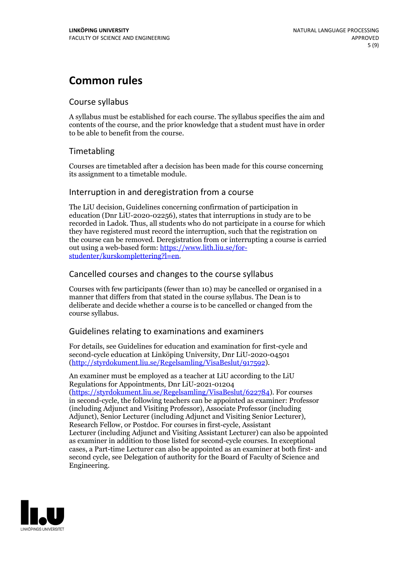## **Common rules**

## Course syllabus

A syllabus must be established for each course. The syllabus specifies the aim and contents of the course, and the prior knowledge that a student must have in order to be able to benefit from the course.

## Timetabling

Courses are timetabled after a decision has been made for this course concerning its assignment to a timetable module.

## Interruption in and deregistration from a course

The LiU decision, Guidelines concerning confirmation of participation in education (Dnr LiU-2020-02256), states that interruptions in study are to be recorded in Ladok. Thus, all students who do not participate in a course for which they have registered must record the interruption, such that the registration on the course can be removed. Deregistration from or interrupting a course is carried out using <sup>a</sup> web-based form: https://www.lith.liu.se/for- [studenter/kurskomplettering?l=en.](https://www.lith.liu.se/for-studenter/kurskomplettering?l=en)

## Cancelled courses and changes to the course syllabus

Courses with few participants (fewer than 10) may be cancelled or organised in a manner that differs from that stated in the course syllabus. The Dean is to deliberate and decide whether a course is to be cancelled or changed from the course syllabus.

## Guidelines relating to examinations and examiners

For details, see Guidelines for education and examination for first-cycle and second-cycle education at Linköping University, Dnr LiU-2020-04501 [\(http://styrdokument.liu.se/Regelsamling/VisaBeslut/917592\)](http://styrdokument.liu.se/Regelsamling/VisaBeslut/917592).

An examiner must be employed as a teacher at LiU according to the LiU Regulations for Appointments, Dnr LiU-2021-01204 [\(https://styrdokument.liu.se/Regelsamling/VisaBeslut/622784](https://styrdokument.liu.se/Regelsamling/VisaBeslut/622784)). For courses in second-cycle, the following teachers can be appointed as examiner: Professor (including Adjunct and Visiting Professor), Associate Professor (including Adjunct), Senior Lecturer (including Adjunct and Visiting Senior Lecturer), Research Fellow, or Postdoc. For courses in first-cycle, Assistant Lecturer (including Adjunct and Visiting Assistant Lecturer) can also be appointed as examiner in addition to those listed for second-cycle courses. In exceptional cases, a Part-time Lecturer can also be appointed as an examiner at both first- and second cycle, see Delegation of authority for the Board of Faculty of Science and Engineering.

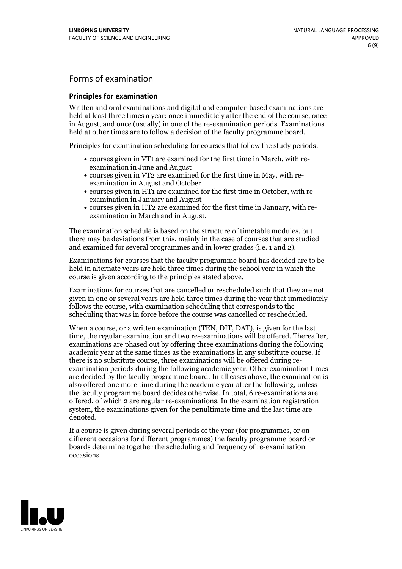## Forms of examination

#### **Principles for examination**

Written and oral examinations and digital and computer-based examinations are held at least three times a year: once immediately after the end of the course, once in August, and once (usually) in one of the re-examination periods. Examinations held at other times are to follow a decision of the faculty programme board.

Principles for examination scheduling for courses that follow the study periods:

- courses given in VT1 are examined for the first time in March, with re-examination in June and August
- courses given in VT2 are examined for the first time in May, with re-examination in August and October
- courses given in HT1 are examined for the first time in October, with re-examination in January and August
- courses given in HT2 are examined for the first time in January, with re-examination in March and in August.

The examination schedule is based on the structure of timetable modules, but there may be deviations from this, mainly in the case of courses that are studied and examined for several programmes and in lower grades (i.e. 1 and 2).

Examinations for courses that the faculty programme board has decided are to be held in alternate years are held three times during the school year in which the course is given according to the principles stated above.

Examinations for courses that are cancelled orrescheduled such that they are not given in one or several years are held three times during the year that immediately follows the course, with examination scheduling that corresponds to the scheduling that was in force before the course was cancelled or rescheduled.

When a course, or a written examination (TEN, DIT, DAT), is given for the last time, the regular examination and two re-examinations will be offered. Thereafter, examinations are phased out by offering three examinations during the following academic year at the same times as the examinations in any substitute course. If there is no substitute course, three examinations will be offered during re- examination periods during the following academic year. Other examination times are decided by the faculty programme board. In all cases above, the examination is also offered one more time during the academic year after the following, unless the faculty programme board decides otherwise. In total, 6 re-examinations are offered, of which 2 are regular re-examinations. In the examination registration system, the examinations given for the penultimate time and the last time are denoted.

If a course is given during several periods of the year (for programmes, or on different occasions for different programmes) the faculty programme board or boards determine together the scheduling and frequency of re-examination occasions.

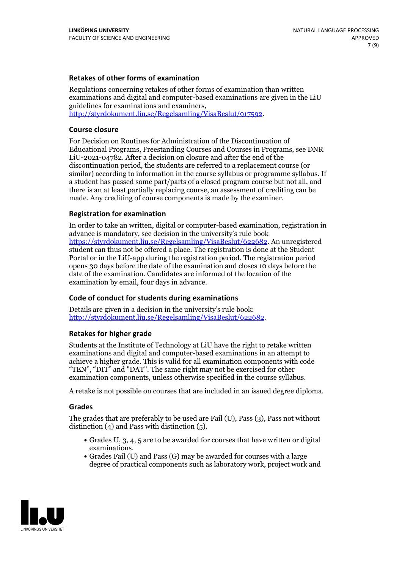### **Retakes of other forms of examination**

Regulations concerning retakes of other forms of examination than written examinations and digital and computer-based examinations are given in the LiU guidelines for examinations and examiners, [http://styrdokument.liu.se/Regelsamling/VisaBeslut/917592.](http://styrdokument.liu.se/Regelsamling/VisaBeslut/917592)

#### **Course closure**

For Decision on Routines for Administration of the Discontinuation of Educational Programs, Freestanding Courses and Courses in Programs, see DNR LiU-2021-04782. After a decision on closure and after the end of the discontinuation period, the students are referred to a replacement course (or similar) according to information in the course syllabus or programme syllabus. If a student has passed some part/parts of a closed program course but not all, and there is an at least partially replacing course, an assessment of crediting can be made. Any crediting of course components is made by the examiner.

### **Registration for examination**

In order to take an written, digital or computer-based examination, registration in advance is mandatory, see decision in the university's rule book [https://styrdokument.liu.se/Regelsamling/VisaBeslut/622682.](https://styrdokument.liu.se/Regelsamling/VisaBeslut/622682) An unregistered student can thus not be offered a place. The registration is done at the Student Portal or in the LiU-app during the registration period. The registration period opens 30 days before the date of the examination and closes 10 days before the date of the examination. Candidates are informed of the location of the examination by email, four days in advance.

## **Code of conduct for students during examinations**

Details are given in a decision in the university's rule book: <http://styrdokument.liu.se/Regelsamling/VisaBeslut/622682>.

#### **Retakes for higher grade**

Students at the Institute of Technology at LiU have the right to retake written examinations and digital and computer-based examinations in an attempt to achieve a higher grade. This is valid for all examination components with code "TEN", "DIT" and "DAT". The same right may not be exercised for other examination components, unless otherwise specified in the course syllabus.

A retake is not possible on courses that are included in an issued degree diploma.

#### **Grades**

The grades that are preferably to be used are Fail (U), Pass (3), Pass not without distinction  $(4)$  and Pass with distinction  $(5)$ .

- Grades U, 3, 4, 5 are to be awarded for courses that have written or digital examinations.<br>• Grades Fail (U) and Pass (G) may be awarded for courses with a large
- degree of practical components such as laboratory work, project work and

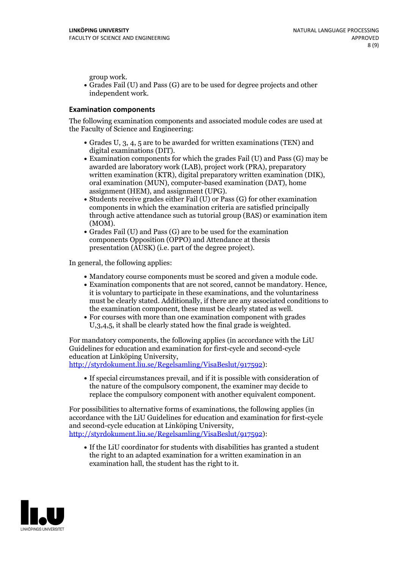group work.<br>• Grades Fail (U) and Pass (G) are to be used for degree projects and other independent work.

### **Examination components**

The following examination components and associated module codes are used at the Faculty of Science and Engineering:

- Grades U, 3, 4, 5 are to be awarded for written examinations (TEN) and
- digital examinations (DIT).<br>• Examination components for which the grades Fail (U) and Pass (G) may be awarded are laboratory work (LAB), project work (PRA), preparatory written examination (KTR), digital preparatory written examination (DIK), oral examination (MUN), computer-based examination (DAT), home
- assignment (HEM), and assignment (UPG).<br>• Students receive grades either Fail (U) or Pass (G) for other examination components in which the examination criteria are satisfied principally through active attendance such as tutorial group (BAS) or examination item
- (MOM).<br>• Grades Fail (U) and Pass (G) are to be used for the examination components Opposition (OPPO) and Attendance at thesis presentation (AUSK) (i.e. part of the degree project).

In general, the following applies:

- 
- Mandatory course components must be scored and given <sup>a</sup> module code. Examination components that are not scored, cannot be mandatory. Hence, it is voluntary to participate in these examinations, and the voluntariness must be clearly stated. Additionally, if there are any associated conditions to
- the examination component, these must be clearly stated as well.<br>• For courses with more than one examination component with grades U,3,4,5, it shall be clearly stated how the final grade is weighted.

For mandatory components, the following applies (in accordance with the LiU Guidelines for education and examination for first-cycle and second-cycle education at Linköping University,<br>[http://styrdokument.liu.se/Regelsamling/VisaBeslut/917592\)](http://styrdokument.liu.se/Regelsamling/VisaBeslut/917592):

If special circumstances prevail, and if it is possible with consideration of the nature of the compulsory component, the examiner may decide to replace the compulsory component with another equivalent component.

For possibilities to alternative forms of examinations, the following applies (in accordance with the LiU Guidelines for education and examination for first-cycle [http://styrdokument.liu.se/Regelsamling/VisaBeslut/917592\)](http://styrdokument.liu.se/Regelsamling/VisaBeslut/917592):

If the LiU coordinator for students with disabilities has granted a student the right to an adapted examination for a written examination in an examination hall, the student has the right to it.